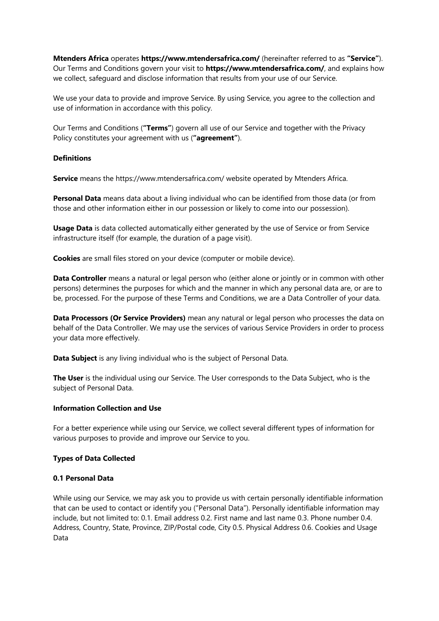**Mtenders Africa** operates **https://www.mtendersafrica.com/** (hereinafter referred to as **"Service"**). Our Terms and Conditions govern your visit to **https://www.mtendersafrica.com/**, and explains how we collect, safeguard and disclose information that results from your use of our Service.

We use your data to provide and improve Service. By using Service, you agree to the collection and use of information in accordance with this policy.

Our Terms and Conditions (**"Terms"**) govern all use of our Service and together with the Privacy Policy constitutes your agreement with us (**"agreement"**).

## **Definitions**

**Service** means the https://www.mtendersafrica.com/ website operated by Mtenders Africa.

**Personal Data** means data about a living individual who can be identified from those data (or from those and other information either in our possession or likely to come into our possession).

**Usage Data** is data collected automatically either generated by the use of Service or from Service infrastructure itself (for example, the duration of a page visit).

**Cookies** are small files stored on your device (computer or mobile device).

**Data Controller** means a natural or legal person who (either alone or jointly or in common with other persons) determines the purposes for which and the manner in which any personal data are, or are to be, processed. For the purpose of these Terms and Conditions, we are a Data Controller of your data.

**Data Processors (Or Service Providers)** mean any natural or legal person who processes the data on behalf of the Data Controller. We may use the services of various Service Providers in order to process your data more effectively.

**Data Subject** is any living individual who is the subject of Personal Data.

**The User** is the individual using our Service. The User corresponds to the Data Subject, who is the subject of Personal Data.

#### **Information Collection and Use**

For a better experience while using our Service, we collect several different types of information for various purposes to provide and improve our Service to you.

## **Types of Data Collected**

#### **0.1 Personal Data**

While using our Service, we may ask you to provide us with certain personally identifiable information that can be used to contact or identify you ("Personal Data"). Personally identifiable information may include, but not limited to: 0.1. Email address 0.2. First name and last name 0.3. Phone number 0.4. Address, Country, State, Province, ZIP/Postal code, City 0.5. Physical Address 0.6. Cookies and Usage Data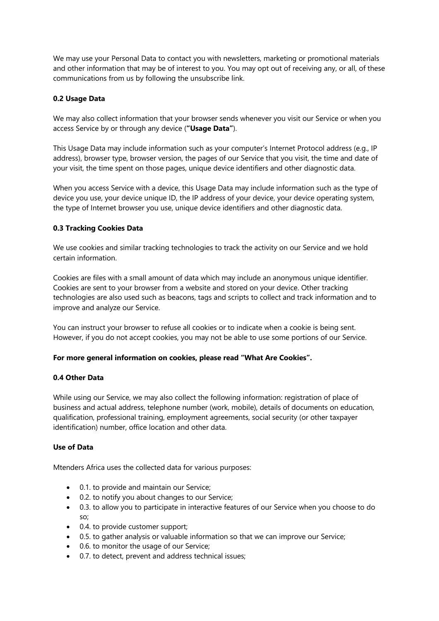We may use your Personal Data to contact you with newsletters, marketing or promotional materials and other information that may be of interest to you. You may opt out of receiving any, or all, of these communications from us by following the unsubscribe link.

# **0.2 Usage Data**

We may also collect information that your browser sends whenever you visit our Service or when you access Service by or through any device (**"Usage Data"**).

This Usage Data may include information such as your computer's Internet Protocol address (e.g., IP address), browser type, browser version, the pages of our Service that you visit, the time and date of your visit, the time spent on those pages, unique device identifiers and other diagnostic data.

When you access Service with a device, this Usage Data may include information such as the type of device you use, your device unique ID, the IP address of your device, your device operating system, the type of Internet browser you use, unique device identifiers and other diagnostic data.

# **0.3 Tracking Cookies Data**

We use cookies and similar tracking technologies to track the activity on our Service and we hold certain information.

Cookies are files with a small amount of data which may include an anonymous unique identifier. Cookies are sent to your browser from a website and stored on your device. Other tracking technologies are also used such as beacons, tags and scripts to collect and track information and to improve and analyze our Service.

You can instruct your browser to refuse all cookies or to indicate when a cookie is being sent. However, if you do not accept cookies, you may not be able to use some portions of our Service.

## **For more general information on cookies, please read "What Are Cookies".**

## **0.4 Other Data**

While using our Service, we may also collect the following information: registration of place of business and actual address, telephone number (work, mobile), details of documents on education, qualification, professional training, employment agreements, social security (or other taxpayer identification) number, office location and other data.

## **Use of Data**

Mtenders Africa uses the collected data for various purposes:

- 0.1. to provide and maintain our Service;
- 0.2. to notify you about changes to our Service;
- 0.3. to allow you to participate in interactive features of our Service when you choose to do so;
- 0.4. to provide customer support;
- 0.5. to gather analysis or valuable information so that we can improve our Service;
- 0.6. to monitor the usage of our Service;
- 0.7. to detect, prevent and address technical issues;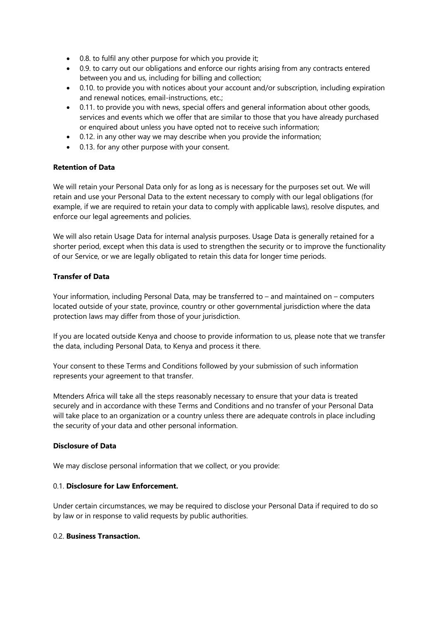- 0.8. to fulfil any other purpose for which you provide it;
- 0.9. to carry out our obligations and enforce our rights arising from any contracts entered between you and us, including for billing and collection;
- 0.10. to provide you with notices about your account and/or subscription, including expiration and renewal notices, email-instructions, etc.;
- 0.11. to provide you with news, special offers and general information about other goods, services and events which we offer that are similar to those that you have already purchased or enquired about unless you have opted not to receive such information;
- 0.12. in any other way we may describe when you provide the information;
- 0.13. for any other purpose with your consent.

# **Retention of Data**

We will retain your Personal Data only for as long as is necessary for the purposes set out. We will retain and use your Personal Data to the extent necessary to comply with our legal obligations (for example, if we are required to retain your data to comply with applicable laws), resolve disputes, and enforce our legal agreements and policies.

We will also retain Usage Data for internal analysis purposes. Usage Data is generally retained for a shorter period, except when this data is used to strengthen the security or to improve the functionality of our Service, or we are legally obligated to retain this data for longer time periods.

# **Transfer of Data**

Your information, including Personal Data, may be transferred to – and maintained on – computers located outside of your state, province, country or other governmental jurisdiction where the data protection laws may differ from those of your jurisdiction.

If you are located outside Kenya and choose to provide information to us, please note that we transfer the data, including Personal Data, to Kenya and process it there.

Your consent to these Terms and Conditions followed by your submission of such information represents your agreement to that transfer.

Mtenders Africa will take all the steps reasonably necessary to ensure that your data is treated securely and in accordance with these Terms and Conditions and no transfer of your Personal Data will take place to an organization or a country unless there are adequate controls in place including the security of your data and other personal information.

## **Disclosure of Data**

We may disclose personal information that we collect, or you provide:

## 0.1. **Disclosure for Law Enforcement.**

Under certain circumstances, we may be required to disclose your Personal Data if required to do so by law or in response to valid requests by public authorities.

## 0.2. **Business Transaction.**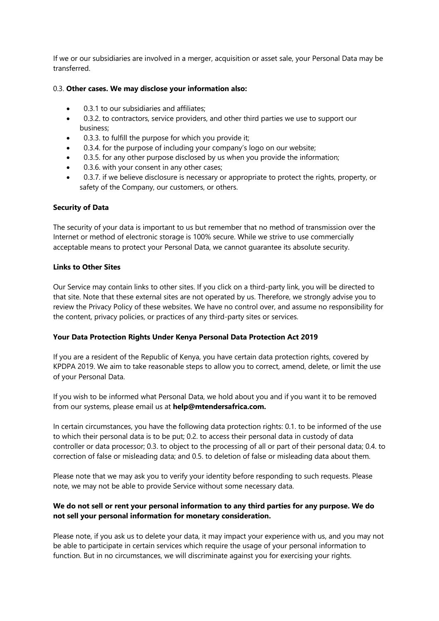If we or our subsidiaries are involved in a merger, acquisition or asset sale, your Personal Data may be transferred.

## 0.3. **Other cases. We may disclose your information also:**

- 0.3.1 to our subsidiaries and affiliates;
- 0.3.2. to contractors, service providers, and other third parties we use to support our business;
- 0.3.3. to fulfill the purpose for which you provide it;
- 0.3.4. for the purpose of including your company's logo on our website;
- 0.3.5. for any other purpose disclosed by us when you provide the information;
- 0.3.6. with your consent in any other cases;
- 0.3.7. if we believe disclosure is necessary or appropriate to protect the rights, property, or safety of the Company, our customers, or others.

## **Security of Data**

The security of your data is important to us but remember that no method of transmission over the Internet or method of electronic storage is 100% secure. While we strive to use commercially acceptable means to protect your Personal Data, we cannot guarantee its absolute security.

## **Links to Other Sites**

Our Service may contain links to other sites. If you click on a third-party link, you will be directed to that site. Note that these external sites are not operated by us. Therefore, we strongly advise you to review the Privacy Policy of these websites. We have no control over, and assume no responsibility for the content, privacy policies, or practices of any third-party sites or services.

## **Your Data Protection Rights Under Kenya Personal Data Protection Act 2019**

If you are a resident of the Republic of Kenya, you have certain data protection rights, covered by KPDPA 2019. We aim to take reasonable steps to allow you to correct, amend, delete, or limit the use of your Personal Data.

If you wish to be informed what Personal Data, we hold about you and if you want it to be removed from our systems, please email us at **help@mtendersafrica.com.**

In certain circumstances, you have the following data protection rights: 0.1. to be informed of the use to which their personal data is to be put; 0.2. to access their personal data in custody of data controller or data processor; 0.3. to object to the processing of all or part of their personal data; 0.4. to correction of false or misleading data; and 0.5. to deletion of false or misleading data about them.

Please note that we may ask you to verify your identity before responding to such requests. Please note, we may not be able to provide Service without some necessary data.

# **We do not sell or rent your personal information to any third parties for any purpose. We do not sell your personal information for monetary consideration.**

Please note, if you ask us to delete your data, it may impact your experience with us, and you may not be able to participate in certain services which require the usage of your personal information to function. But in no circumstances, we will discriminate against you for exercising your rights.